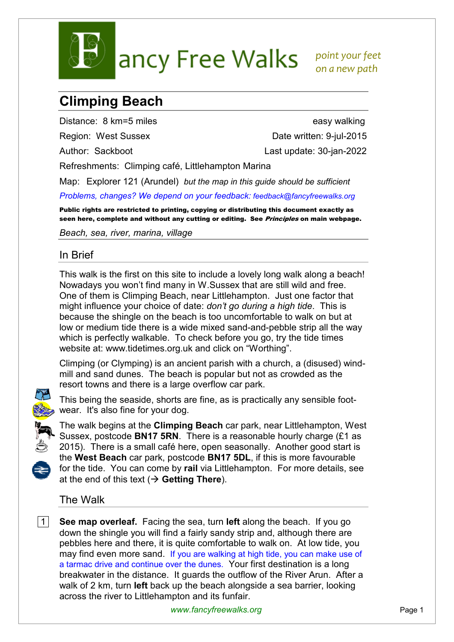

## **Climping Beach**

Distance: 8 km=5 miles easy walking

Region: West Sussex Date written: 9-jul-2015 Author: Sackboot Last update: 30-jan-2022

Refreshments: Climping café, Littlehampton Marina

Map: Explorer 121 (Arundel) *but the map in this guide should be sufficient*

*Problems, changes? We depend on your feedback: feedback@fancyfreewalks.org*

Public rights are restricted to printing, copying or distributing this document exactly as seen here, complete and without any cutting or editing. See Principles on main webpage.

*Beach, sea, river, marina, village* 

## In Brief

This walk is the first on this site to include a lovely long walk along a beach! Nowadays you won't find many in W.Sussex that are still wild and free. One of them is Climping Beach, near Littlehampton. Just one factor that might influence your choice of date: *don't go during a high tide*. This is because the shingle on the beach is too uncomfortable to walk on but at low or medium tide there is a wide mixed sand-and-pebble strip all the way which is perfectly walkable. To check before you go, try the tide times website at: www.tidetimes.org.uk and click on "Worthing".

Climping (or Clymping) is an ancient parish with a church, a (disused) windmill and sand dunes. The beach is popular but not as crowded as the resort towns and there is a large overflow car park.



This being the seaside, shorts are fine, as is practically any sensible footwear. It's also fine for your dog.



The walk begins at the **Climping Beach** car park, near Littlehampton, West Sussex, postcode **BN17 5RN**. There is a reasonable hourly charge (£1 as 2015). There is a small café here, open seasonally. Another good start is the **West Beach** car park, postcode **BN17 5DL**, if this is more favourable for the tide. You can come by **rail** via Littlehampton. For more details, see at the end of this text  $(\rightarrow$  Getting There).

## The Walk

 1 **See map overleaf.** Facing the sea, turn **left** along the beach. If you go down the shingle you will find a fairly sandy strip and, although there are pebbles here and there, it is quite comfortable to walk on. At low tide, you may find even more sand. If you are walking at high tide, you can make use of a tarmac drive and continue over the dunes. Your first destination is a long breakwater in the distance. It guards the outflow of the River Arun. After a walk of 2 km, turn **left** back up the beach alongside a sea barrier, looking across the river to Littlehampton and its funfair.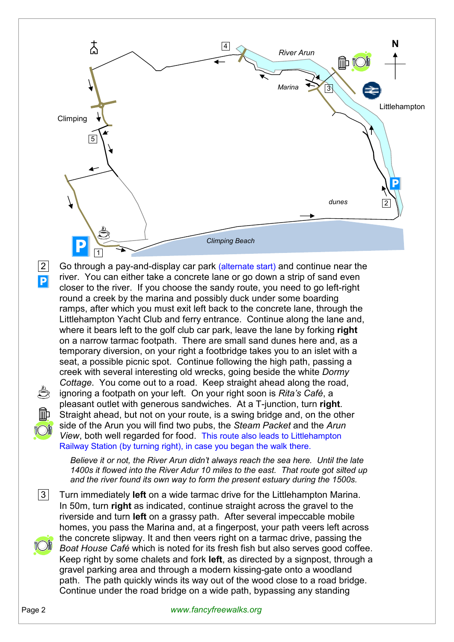

2 Go through a pay-and-display car park (alternate start) and continue near the river. You can either take a concrete lane or go down a strip of sand even closer to the river. If you choose the sandy route, you need to go left-right round a creek by the marina and possibly duck under some boarding ramps, after which you must exit left back to the concrete lane, through the Littlehampton Yacht Club and ferry entrance. Continue along the lane and, where it bears left to the golf club car park, leave the lane by forking **right** on a narrow tarmac footpath. There are small sand dunes here and, as a temporary diversion, on your right a footbridge takes you to an islet with a seat, a possible picnic spot. Continue following the high path, passing a creek with several interesting old wrecks, going beside the white *Dormy Cottage*. You come out to a road. Keep straight ahead along the road, ignoring a footpath on your left. On your right soon is *Rita's Café*, a pleasant outlet with generous sandwiches. At a T-junction, turn **right**. Straight ahead, but not on your route, is a swing bridge and, on the other side of the Arun you will find two pubs, the *Steam Packet* and the *Arun View*, both well regarded for food. This route also leads to Littlehampton Railway Station (by turning right), in case you began the walk there.

*Believe it or not, the River Arun didn't always reach the sea here. Until the late 1400s it flowed into the River Adur 10 miles to the east. That route got silted up and the river found its own way to form the present estuary during the 1500s.* 

 3 Turn immediately **left** on a wide tarmac drive for the Littlehampton Marina. In 50m, turn **right** as indicated, continue straight across the gravel to the riverside and turn **left** on a grassy path. After several impeccable mobile homes, you pass the Marina and, at a fingerpost, your path veers left across the concrete slipway. It and then veers right on a tarmac drive, passing the *Boat House Café* which is noted for its fresh fish but also serves good coffee. Keep right by some chalets and fork **left**, as directed by a signpost, through a gravel parking area and through a modern kissing-gate onto a woodland path. The path quickly winds its way out of the wood close to a road bridge. Continue under the road bridge on a wide path, bypassing any standing